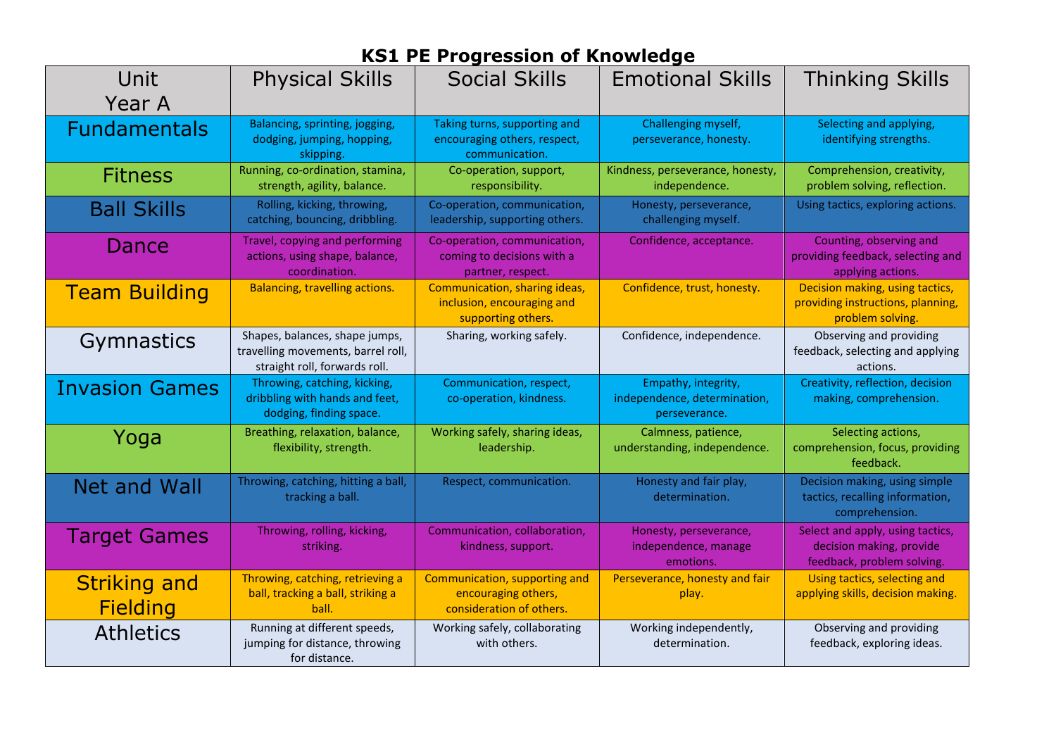| Unit<br>Year A                         | <b>Physical Skills</b>                                                                                | <b>Social Skills</b>                                                              | <b>Emotional Skills</b>                                              | <b>Thinking Skills</b>                                                                     |
|----------------------------------------|-------------------------------------------------------------------------------------------------------|-----------------------------------------------------------------------------------|----------------------------------------------------------------------|--------------------------------------------------------------------------------------------|
| <b>Fundamentals</b>                    | Balancing, sprinting, jogging,<br>dodging, jumping, hopping,<br>skipping.                             | Taking turns, supporting and<br>encouraging others, respect,<br>communication.    | Challenging myself,<br>perseverance, honesty.                        | Selecting and applying,<br>identifying strengths.                                          |
| <b>Fitness</b>                         | Running, co-ordination, stamina,<br>strength, agility, balance.                                       | Co-operation, support,<br>responsibility.                                         | Kindness, perseverance, honesty,<br>independence.                    | Comprehension, creativity,<br>problem solving, reflection.                                 |
| <b>Ball Skills</b>                     | Rolling, kicking, throwing,<br>catching, bouncing, dribbling.                                         | Co-operation, communication,<br>leadership, supporting others.                    | Honesty, perseverance,<br>challenging myself.                        | Using tactics, exploring actions.                                                          |
| Dance                                  | Travel, copying and performing<br>actions, using shape, balance,<br>coordination.                     | Co-operation, communication,<br>coming to decisions with a<br>partner, respect.   | Confidence, acceptance.                                              | Counting, observing and<br>providing feedback, selecting and<br>applying actions.          |
| <b>Team Building</b>                   | Balancing, travelling actions.                                                                        | Communication, sharing ideas,<br>inclusion, encouraging and<br>supporting others. | Confidence, trust, honesty.                                          | Decision making, using tactics,<br>providing instructions, planning,<br>problem solving.   |
| Gymnastics                             | Shapes, balances, shape jumps,<br>travelling movements, barrel roll,<br>straight roll, forwards roll. | Sharing, working safely.                                                          | Confidence, independence.                                            | Observing and providing<br>feedback, selecting and applying<br>actions.                    |
| <b>Invasion Games</b>                  | Throwing, catching, kicking,<br>dribbling with hands and feet,<br>dodging, finding space.             | Communication, respect,<br>co-operation, kindness.                                | Empathy, integrity,<br>independence, determination,<br>perseverance. | Creativity, reflection, decision<br>making, comprehension.                                 |
| Yoga                                   | Breathing, relaxation, balance,<br>flexibility, strength.                                             | Working safely, sharing ideas,<br>leadership.                                     | Calmness, patience,<br>understanding, independence.                  | Selecting actions,<br>comprehension, focus, providing<br>feedback.                         |
| Net and Wall                           | Throwing, catching, hitting a ball,<br>tracking a ball.                                               | Respect, communication.                                                           | Honesty and fair play,<br>determination.                             | Decision making, using simple<br>tactics, recalling information,<br>comprehension.         |
| <b>Target Games</b>                    | Throwing, rolling, kicking,<br>striking.                                                              | Communication, collaboration,<br>kindness, support.                               | Honesty, perseverance,<br>independence, manage<br>emotions.          | Select and apply, using tactics,<br>decision making, provide<br>feedback, problem solving. |
| <b>Striking and</b><br><b>Fielding</b> | Throwing, catching, retrieving a<br>ball, tracking a ball, striking a<br>ball.                        | Communication, supporting and<br>encouraging others,<br>consideration of others.  | Perseverance, honesty and fair<br>play.                              | Using tactics, selecting and<br>applying skills, decision making                           |
| <b>Athletics</b>                       | Running at different speeds,<br>jumping for distance, throwing<br>for distance.                       | Working safely, collaborating<br>with others.                                     | Working independently,<br>determination.                             | Observing and providing<br>feedback, exploring ideas.                                      |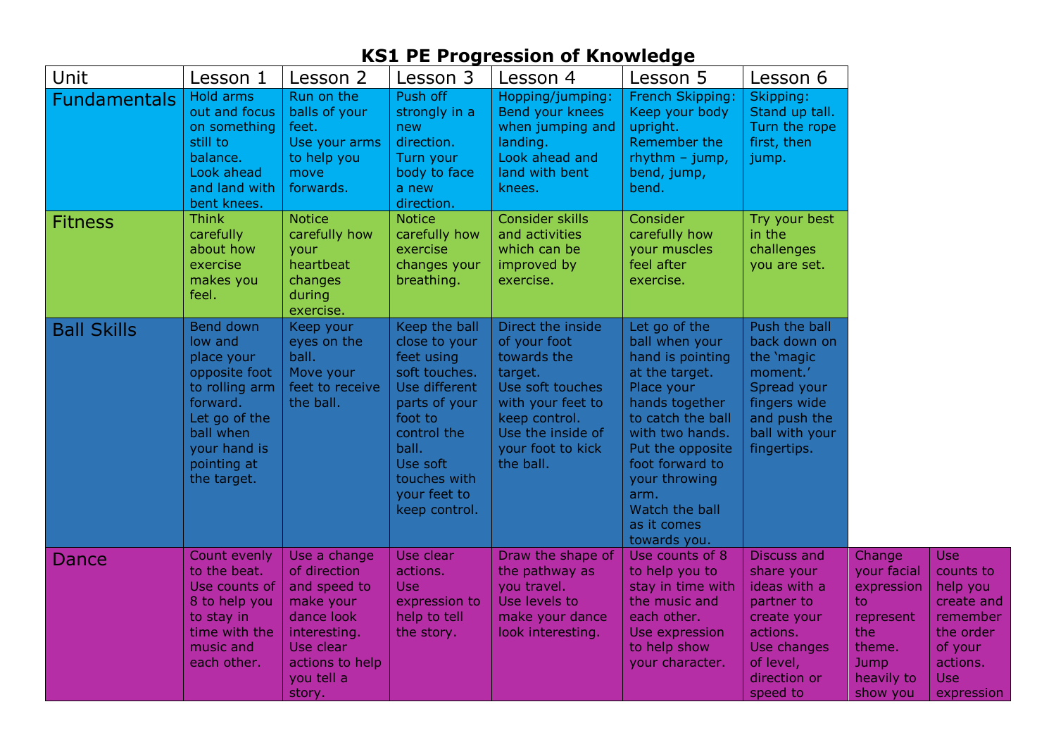| Unit                | Lesson 1                                                                                                                                                      | Lesson 2                                                                                                                                        | Lesson 3                                                                                                                                                                                        | Lesson 4                                                                                                                                                                     | Lesson 5                                                                                                                                                                                                                                                       | Lesson 6                                                                                                                                          |                                                                                                                   |                                                                                                                        |
|---------------------|---------------------------------------------------------------------------------------------------------------------------------------------------------------|-------------------------------------------------------------------------------------------------------------------------------------------------|-------------------------------------------------------------------------------------------------------------------------------------------------------------------------------------------------|------------------------------------------------------------------------------------------------------------------------------------------------------------------------------|----------------------------------------------------------------------------------------------------------------------------------------------------------------------------------------------------------------------------------------------------------------|---------------------------------------------------------------------------------------------------------------------------------------------------|-------------------------------------------------------------------------------------------------------------------|------------------------------------------------------------------------------------------------------------------------|
| <b>Fundamentals</b> | Hold arms<br>out and focus<br>on something<br>still to<br>balance.<br>Look ahead<br>and land with<br>bent knees.                                              | Run on the<br>balls of your<br>feet.<br>Use your arms<br>to help you<br>move<br>forwards.                                                       | Push off<br>strongly in a<br>new<br>direction.<br>Turn your<br>body to face<br>a new<br>direction.                                                                                              | Hopping/jumping:<br>Bend your knees<br>when jumping and<br>landing.<br>Look ahead and<br>land with bent<br>knees.                                                            | French Skipping:<br>Keep your body<br>upright.<br>Remember the<br>$r$ hythm – jump,<br>bend, jump,<br>bend.                                                                                                                                                    | Skipping:<br>Stand up tall.<br>Turn the rope<br>first, then<br>jump.                                                                              |                                                                                                                   |                                                                                                                        |
| <b>Fitness</b>      | <b>Think</b><br>carefully<br>about how<br>exercise<br>makes you<br>feel.                                                                                      | <b>Notice</b><br>carefully how<br>your<br>heartbeat<br>changes<br>during<br>exercise.                                                           | <b>Notice</b><br>carefully how<br>exercise<br>changes your<br>breathing.                                                                                                                        | Consider skills<br>and activities<br>which can be<br>improved by<br>exercise.                                                                                                | Consider<br>carefully how<br>your muscles<br>feel after<br>exercise.                                                                                                                                                                                           | Try your best<br>in the<br>challenges<br>you are set.                                                                                             |                                                                                                                   |                                                                                                                        |
| <b>Ball Skills</b>  | Bend down<br>low and<br>place your<br>opposite foot<br>to rolling arm<br>forward.<br>Let go of the<br>ball when<br>your hand is<br>pointing at<br>the target. | Keep your<br>eyes on the<br>ball.<br>Move your<br>feet to receive<br>the ball.                                                                  | Keep the ball<br>close to your<br>feet using<br>soft touches.<br>Use different<br>parts of your<br>foot to<br>control the<br>ball.<br>Use soft<br>touches with<br>your feet to<br>keep control. | Direct the inside<br>of your foot<br>towards the<br>target.<br>Use soft touches<br>with your feet to<br>keep control.<br>Use the inside of<br>your foot to kick<br>the ball. | Let go of the<br>ball when your<br>hand is pointing<br>at the target.<br>Place your<br>hands together<br>to catch the ball<br>with two hands.<br>Put the opposite<br>foot forward to<br>your throwing<br>arm.<br>Watch the ball<br>as it comes<br>towards you. | Push the ball<br>back down on<br>the 'magic<br>moment.'<br>Spread your<br>fingers wide<br>and push the<br>ball with your<br>fingertips.           |                                                                                                                   |                                                                                                                        |
| Dance               | Count evenly<br>to the beat.<br>Use counts of<br>8 to help you<br>to stay in<br>time with the<br>music and<br>each other.                                     | Use a change<br>of direction<br>and speed to<br>make your<br>dance look<br>interesting.<br>Use clear<br>actions to help<br>you tell a<br>story. | Use clear<br>actions.<br><b>Use</b><br>expression to<br>help to tell<br>the story.                                                                                                              | Draw the shape of<br>the pathway as<br>you travel.<br>Use levels to<br>make your dance<br>look interesting.                                                                  | Use counts of 8<br>to help you to<br>stay in time with<br>the music and<br>each other.<br>Use expression<br>to help show<br>your character.                                                                                                                    | <b>Discuss and</b><br>share your<br>ideas with a<br>partner to<br>create your<br>actions.<br>Use changes<br>of level,<br>direction or<br>speed to | Change<br>your facial<br>expression<br>to.<br>represent<br>the<br>theme.<br><b>Jump</b><br>heavily to<br>show you | <b>Use</b><br>counts to<br>help you<br>create and<br>remember<br>the order<br>of your<br>actions.<br>Use<br>expression |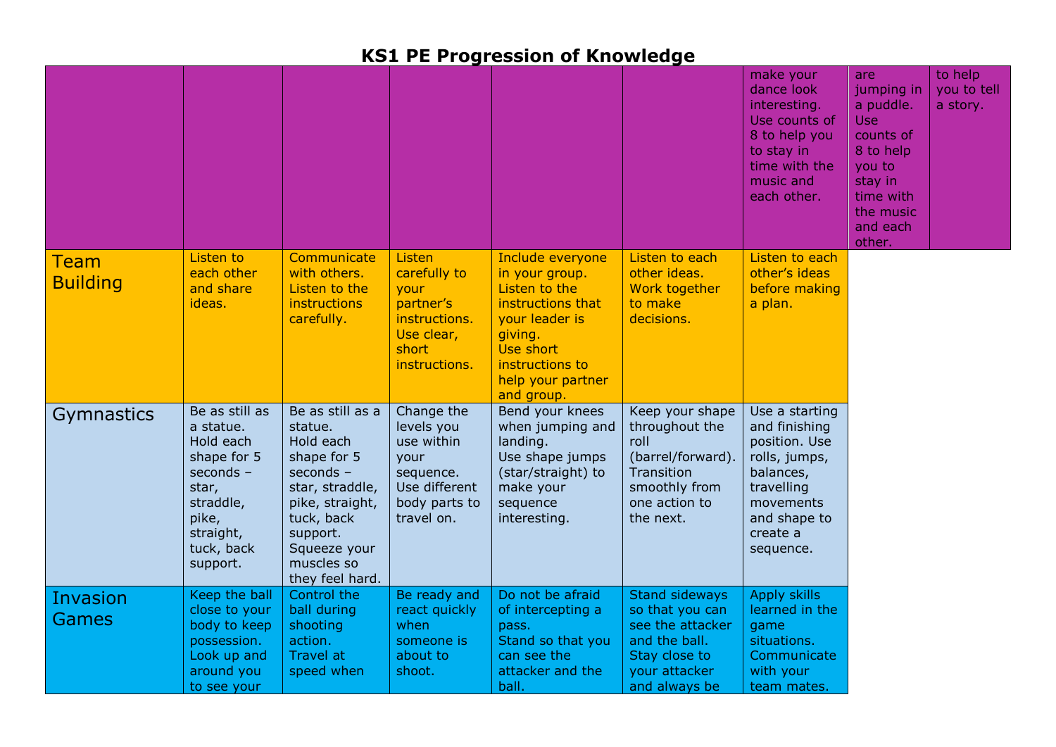|                         |                                                                                                                                            |                                                                                                                                                                                       |                                                                                                             |                                                                                                                                                                          |                                                                                                                                  | make your<br>dance look<br>interesting.<br>Use counts of<br>8 to help you<br>to stay in<br>time with the<br>music and<br>each other.               | are<br>jumping in<br>a puddle.<br><b>Use</b><br>counts of<br>8 to help<br>you to<br>stay in<br>time with<br>the music<br>and each<br>other. | to help<br>you to tell<br>a story. |
|-------------------------|--------------------------------------------------------------------------------------------------------------------------------------------|---------------------------------------------------------------------------------------------------------------------------------------------------------------------------------------|-------------------------------------------------------------------------------------------------------------|--------------------------------------------------------------------------------------------------------------------------------------------------------------------------|----------------------------------------------------------------------------------------------------------------------------------|----------------------------------------------------------------------------------------------------------------------------------------------------|---------------------------------------------------------------------------------------------------------------------------------------------|------------------------------------|
| Team<br><b>Building</b> | Listen to<br>each other<br>and share<br>ideas.                                                                                             | Communicate<br>with others.<br>Listen to the<br>instructions<br>carefully.                                                                                                            | Listen<br>carefully to<br>your<br>partner's<br>instructions.<br>Use clear,<br>short<br>instructions.        | Include everyone<br>in your group.<br>Listen to the<br>instructions that<br>your leader is<br>giving.<br>Use short<br>instructions to<br>help your partner<br>and group. | Listen to each<br>other ideas.<br>Work together<br>to make<br>decisions.                                                         | Listen to each<br>other's ideas<br>before making<br>a plan.                                                                                        |                                                                                                                                             |                                    |
| Gymnastics              | Be as still as<br>a statue.<br>Hold each<br>shape for 5<br>seconds -<br>star,<br>straddle,<br>pike,<br>straight,<br>tuck, back<br>support. | Be as still as a<br>statue.<br>Hold each<br>shape for 5<br>seconds -<br>star, straddle,<br>pike, straight,<br>tuck, back<br>support.<br>Squeeze your<br>muscles so<br>they feel hard. | Change the<br>levels you<br>use within<br>your<br>sequence.<br>Use different<br>body parts to<br>travel on. | Bend your knees<br>when jumping and<br>landing.<br>Use shape jumps<br>(star/straight) to<br>make your<br>sequence<br>interesting.                                        | Keep your shape<br>throughout the<br>roll<br>(barrel/forward).<br>Transition<br>smoothly from<br>one action to<br>the next.      | Use a starting<br>and finishing<br>position. Use<br>rolls, jumps,<br>balances,<br>travelling<br>movements<br>and shape to<br>create a<br>sequence. |                                                                                                                                             |                                    |
| Invasion<br>Games       | Keep the ball<br>close to your<br>body to keep<br>possession.<br>Look up and<br>around you<br>to see your                                  | Control the<br>ball during<br>shooting<br>action.<br><b>Travel at</b><br>speed when                                                                                                   | Be ready and<br>react quickly<br>when<br>someone is<br>about to<br>shoot.                                   | Do not be afraid<br>of intercepting a<br>pass.<br>Stand so that you<br>can see the<br>attacker and the<br>ball.                                                          | <b>Stand sideways</b><br>so that you can<br>see the attacker<br>and the ball.<br>Stay close to<br>your attacker<br>and always be | <b>Apply skills</b><br>learned in the<br>game<br>situations.<br>Communicate<br>with your<br>team mates.                                            |                                                                                                                                             |                                    |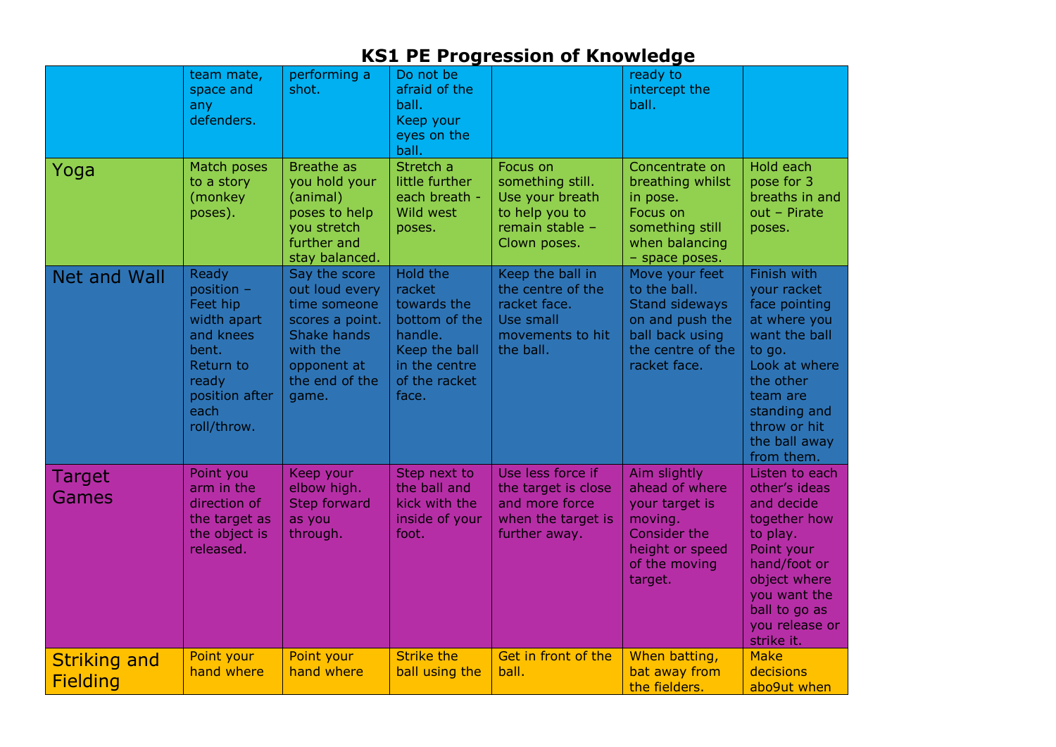|                                        | team mate,<br>space and<br>any<br>defenders.                                                                                        | performing a<br>shot.                                                                                                                          | Do not be<br>afraid of the<br>ball.<br>Keep your<br>eyes on the<br>ball.                                                  |                                                                                                      | ready to<br>intercept the<br>ball.                                                                                          |                                                                                                                                                                                                 |
|----------------------------------------|-------------------------------------------------------------------------------------------------------------------------------------|------------------------------------------------------------------------------------------------------------------------------------------------|---------------------------------------------------------------------------------------------------------------------------|------------------------------------------------------------------------------------------------------|-----------------------------------------------------------------------------------------------------------------------------|-------------------------------------------------------------------------------------------------------------------------------------------------------------------------------------------------|
| Yoga                                   | Match poses<br>to a story<br>(monkey<br>poses).                                                                                     | <b>Breathe as</b><br>you hold your<br>(animal)<br>poses to help<br>you stretch<br>further and<br>stay balanced.                                | Stretch a<br>little further<br>each breath -<br>Wild west<br>poses.                                                       | Focus on<br>something still.<br>Use your breath<br>to help you to<br>remain stable -<br>Clown poses. | Concentrate on<br>breathing whilst<br>in pose.<br>Focus on<br>something still<br>when balancing<br>- space poses.           | Hold each<br>pose for 3<br>breaths in and<br>$out - Pirate$<br>poses.                                                                                                                           |
| Net and Wall                           | Ready<br>position -<br>Feet hip<br>width apart<br>and knees<br>bent.<br>Return to<br>ready<br>position after<br>each<br>roll/throw. | Say the score<br>out loud every<br>time someone<br>scores a point.<br><b>Shake hands</b><br>with the<br>opponent at<br>the end of the<br>game. | Hold the<br>racket<br>towards the<br>bottom of the<br>handle.<br>Keep the ball<br>in the centre<br>of the racket<br>face. | Keep the ball in<br>the centre of the<br>racket face.<br>Use small<br>movements to hit<br>the ball.  | Move your feet<br>to the ball.<br>Stand sideways<br>on and push the<br>ball back using<br>the centre of the<br>racket face. | Finish with<br>your racket<br>face pointing<br>at where you<br>want the ball<br>to go.<br>Look at where<br>the other<br>team are<br>standing and<br>throw or hit<br>the ball away<br>from them. |
| Target<br>Games                        | Point you<br>arm in the<br>direction of<br>the target as<br>the object is<br>released.                                              | Keep your<br>elbow high.<br><b>Step forward</b><br>as you<br>through.                                                                          | Step next to<br>the ball and<br>kick with the<br>inside of your<br>foot.                                                  | Use less force if<br>the target is close<br>and more force<br>when the target is<br>further away.    | Aim slightly<br>ahead of where<br>your target is<br>moving.<br>Consider the<br>height or speed<br>of the moving<br>target.  | Listen to each<br>other's ideas<br>and decide<br>together how<br>to play.<br>Point your<br>hand/foot or<br>object where<br>you want the<br>ball to go as<br>you release or<br>strike it.        |
| <b>Striking and</b><br><b>Fielding</b> | Point your<br>hand where                                                                                                            | Point your<br>hand where                                                                                                                       | <b>Strike the</b><br>ball using the                                                                                       | Get in front of the<br>ball.                                                                         | When batting,<br>bat away from<br>the fielders.                                                                             | <b>Make</b><br>decisions<br>abo9ut when                                                                                                                                                         |